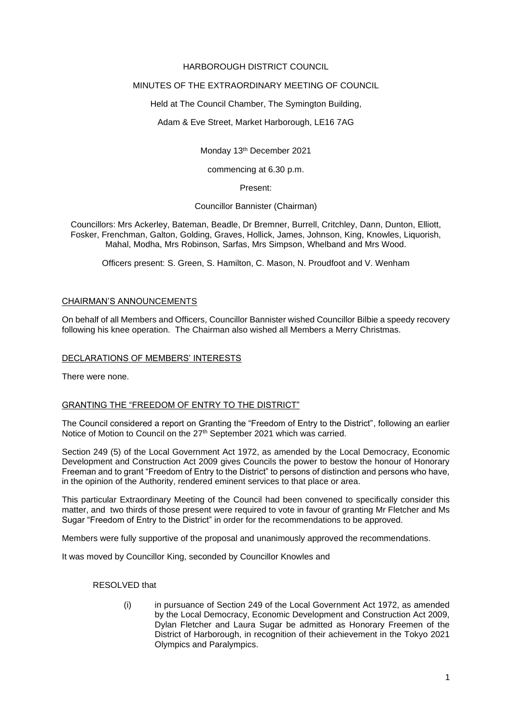### HARBOROUGH DISTRICT COUNCIL

# MINUTES OF THE EXTRAORDINARY MEETING OF COUNCIL

Held at The Council Chamber, The Symington Building,

Adam & Eve Street, Market Harborough, LE16 7AG

Monday 13th December 2021

commencing at 6.30 p.m.

#### Present:

### Councillor Bannister (Chairman)

Councillors: Mrs Ackerley, Bateman, Beadle, Dr Bremner, Burrell, Critchley, Dann, Dunton, Elliott, Fosker, Frenchman, Galton, Golding, Graves, Hollick, James, Johnson, King, Knowles, Liquorish, Mahal, Modha, Mrs Robinson, Sarfas, Mrs Simpson, Whelband and Mrs Wood.

Officers present: S. Green, S. Hamilton, C. Mason, N. Proudfoot and V. Wenham

### CHAIRMAN'S ANNOUNCEMENTS

On behalf of all Members and Officers, Councillor Bannister wished Councillor Bilbie a speedy recovery following his knee operation. The Chairman also wished all Members a Merry Christmas.

### DECLARATIONS OF MEMBERS' INTERESTS

There were none.

# GRANTING THE "FREEDOM OF ENTRY TO THE DISTRICT"

The Council considered a report on Granting the "Freedom of Entry to the District", following an earlier Notice of Motion to Council on the 27<sup>th</sup> September 2021 which was carried.

Section 249 (5) of the Local Government Act 1972, as amended by the Local Democracy, Economic Development and Construction Act 2009 gives Councils the power to bestow the honour of Honorary Freeman and to grant "Freedom of Entry to the District" to persons of distinction and persons who have, in the opinion of the Authority, rendered eminent services to that place or area.

This particular Extraordinary Meeting of the Council had been convened to specifically consider this matter, and two thirds of those present were required to vote in favour of granting Mr Fletcher and Ms Sugar "Freedom of Entry to the District" in order for the recommendations to be approved.

Members were fully supportive of the proposal and unanimously approved the recommendations.

It was moved by Councillor King, seconded by Councillor Knowles and

RESOLVED that

(i) in pursuance of Section 249 of the Local Government Act 1972, as amended by the Local Democracy, Economic Development and Construction Act 2009, Dylan Fletcher and Laura Sugar be admitted as Honorary Freemen of the District of Harborough, in recognition of their achievement in the Tokyo 2021 Olympics and Paralympics.